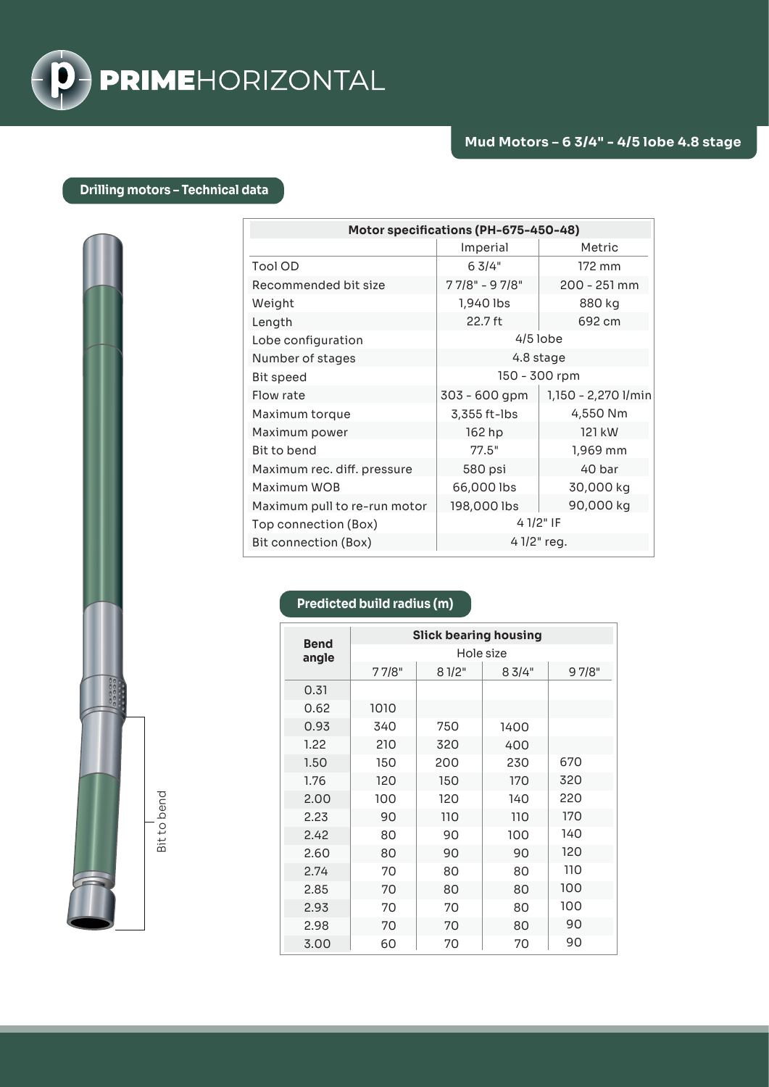

## **Drilling motors – Technical data**

| Motor specifications (PH-675-450-48) |                                 |                     |  |  |  |
|--------------------------------------|---------------------------------|---------------------|--|--|--|
|                                      | Imperial                        | Metric              |  |  |  |
| <b>Tool OD</b>                       | 63/4"<br>172 mm                 |                     |  |  |  |
| Recommended bit size                 | $77/8" - 97/8"$<br>200 - 251 mm |                     |  |  |  |
| Weight                               | 1,940 lbs<br>880 kg             |                     |  |  |  |
| Length                               | 22.7 ft                         | 692 cm              |  |  |  |
| Lobe configuration                   | $4/5$ lobe                      |                     |  |  |  |
| Number of stages                     | 4.8 stage                       |                     |  |  |  |
| <b>Bit speed</b>                     | 150 - 300 rpm                   |                     |  |  |  |
| Flow rate                            | 303 - 600 gpm                   | 1,150 - 2,270 I/min |  |  |  |
| Maximum torque                       | 3,355 ft-lbs                    | 4,550 Nm            |  |  |  |
| Maximum power                        | 162 hp<br>121 kW                |                     |  |  |  |
| Bit to bend                          | 77.5"                           | 1,969 mm            |  |  |  |
| Maximum rec. diff. pressure          | 580 psi                         | 40 bar              |  |  |  |
| Maximum WOB                          | 66,000 lbs                      | 30,000 kg           |  |  |  |
| Maximum pull to re-run motor         | 198,000 lbs                     | 90,000 kg           |  |  |  |
| Top connection (Box)                 | 4 1/2" IF                       |                     |  |  |  |
| Bit connection (Box)                 | $41/2$ " reg.                   |                     |  |  |  |

|                      | <b>Slick bearing housing</b> |       |       |       |  |
|----------------------|------------------------------|-------|-------|-------|--|
| <b>Bend</b><br>angle | Hole size                    |       |       |       |  |
|                      | 77/8"                        | 81/2" | 83/4" | 97/8" |  |
| 0.31                 |                              |       |       |       |  |
| 0.62                 | 1010                         |       |       |       |  |
| 0.93                 | 340                          | 750   | 1400  |       |  |
| 1.22                 | 210                          | 320   | 400   |       |  |
| 1.50                 | 150                          | 200   | 230   | 670   |  |
| 1.76                 | 120                          | 150   | 170   | 320   |  |
| 2.00                 | 100                          | 120   | 140   | 220   |  |
| 2.23                 | 90                           | 110   | 110   | 170   |  |
| 2.42                 | 80                           | 90    | 100   | 140   |  |
| 2.60                 | 80                           | 90    | 90    | 120   |  |
| 2.74                 | 70                           | 80    | 80    | 110   |  |
| 2.85                 | 70                           | 80    | 80    | 100   |  |
| 2.93                 | 70                           | 70    | 80    | 100   |  |
| 2.98                 | 70                           | 70    | 80    | 90    |  |
| 3.00                 | 60                           | 70    | 70    | 90    |  |

**Predicted build radius (m)**

Bit to bend Bit to bend